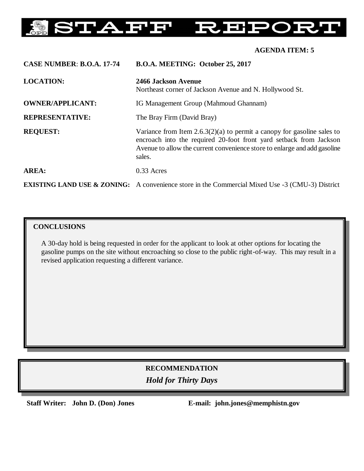#### **AFF** FS **IP**  $\vert$   $\vert$   $\vert$

## **AGENDA ITEM: 5**

| <b>CASE NUMBER: B.O.A. 17-74</b> | B.O.A. MEETING: October 25, 2017                                                                                                                                                                                                       |
|----------------------------------|----------------------------------------------------------------------------------------------------------------------------------------------------------------------------------------------------------------------------------------|
| <b>LOCATION:</b>                 | 2466 Jackson Avenue<br>Northeast corner of Jackson Avenue and N. Hollywood St.                                                                                                                                                         |
| <b>OWNER/APPLICANT:</b>          | IG Management Group (Mahmoud Ghannam)                                                                                                                                                                                                  |
| <b>REPRESENTATIVE:</b>           | The Bray Firm (David Bray)                                                                                                                                                                                                             |
| <b>REQUEST:</b>                  | Variance from Item $2.6.3(2)(a)$ to permit a canopy for gasoline sales to<br>encroach into the required 20-foot front yard setback from Jackson<br>Avenue to allow the current convenience store to enlarge and add gasoline<br>sales. |
| AREA:                            | $0.33$ Acres                                                                                                                                                                                                                           |
|                                  | <b>EXISTING LAND USE &amp; ZONING:</b> A convenience store in the Commercial Mixed Use -3 (CMU-3) District                                                                                                                             |

## **CONCLUSIONS**

A 30-day hold is being requested in order for the applicant to look at other options for locating the gasoline pumps on the site without encroaching so close to the public right-of-way. This may result in a revised application requesting a different variance.

# **RECOMMENDATION** *Hold for Thirty Days*

**Staff Writer: John D. (Don) Jones E-mail: john.jones@memphistn.gov**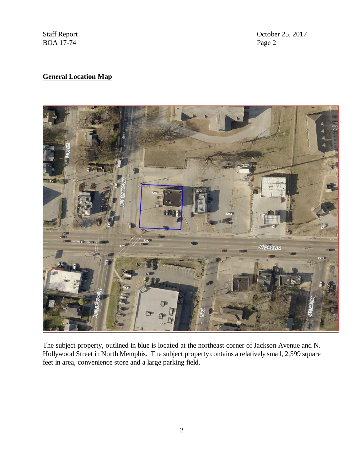$BOA$  17-74

Staff Report Corober 25, 2017<br>BOA 17-74 Page 2

## **General Location Map**



The subject property, outlined in blue is located at the northeast corner of Jackson Avenue and N. Hollywood Street in North Memphis. The subject property contains a relatively small, 2,599 square feet in area, convenience store and a large parking field.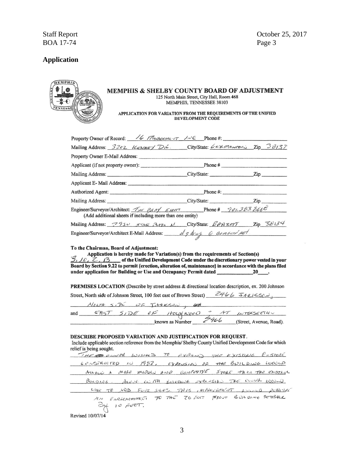**Staff Report BOA 17-74** 

### **Application**

|         | <b>EMPHIS</b> |       |  |
|---------|---------------|-------|--|
|         |               |       |  |
| B<br>×  |               |       |  |
| F       |               |       |  |
|         |               |       |  |
| TENNESS |               |       |  |
|         |               | OWNER |  |
|         |               |       |  |

#### MEMPHIS & SHELBY COUNTY BOARD OF ADJUSTMENT 125 North Main Street, City Hall, Room 468 MEMPHIS, TENNESSEE 38103

#### APPLICATION FOR VARIATION FROM THE REQUIREMENTS OF THE UNIFIED DEVELOPMENT CODE

| Property Owner of Record: $\sqrt{6}$ Musicians of $\sqrt{2}$ Phone #:                                                           |  |  |  |  |  |  |
|---------------------------------------------------------------------------------------------------------------------------------|--|--|--|--|--|--|
| Mailing Address: 3202 ILENNEY DR. City/State: LEXMANTON, Zip 38137                                                              |  |  |  |  |  |  |
|                                                                                                                                 |  |  |  |  |  |  |
|                                                                                                                                 |  |  |  |  |  |  |
|                                                                                                                                 |  |  |  |  |  |  |
| Applicant E-Mail Address:                                                                                                       |  |  |  |  |  |  |
|                                                                                                                                 |  |  |  |  |  |  |
|                                                                                                                                 |  |  |  |  |  |  |
| Engineer/Surveyor/Architect: THE BENY ELEMENT Phone # 901.383.8666<br>(Add additional sheets if including more than one entity) |  |  |  |  |  |  |
| Mailing Address: 7950 5740 7474 11 City/State: BRAZET Zip 38134                                                                 |  |  |  |  |  |  |
| Engineer/Surveyor/Architect E-Mail Address: _ dq by aq Q compassing                                                             |  |  |  |  |  |  |

#### To the Chairman, Board of Adjustment:

Application is hereby made for Variation(s) from the requirements of Section(s)  $\sqrt{\varepsilon}$ ,  $\overline{\mathcal{Z}}$ ,  $\overline{\mathcal{Z}}$  of the Unified Development Code under the discretionary power vested in your Board by Section 9.22 to permit {erection, alteration of, maintenance} in accordance with the plans filed 

PREMISES LOCATION (Describe by street address & directional location description, ex. 200 Johnson

Street, North side of Johnson Street, 100 feet east of Brown Street)  $ZH \& LZ + LZ$ 

NEATH SIPE OF ITOKSAU, OF

| and | 5IDEE | HCGHWGGD        |        | ATT | $LUTOISEETIC-$          |
|-----|-------|-----------------|--------|-----|-------------------------|
|     |       | known as Number | $-466$ |     | (Street, Avenue, Road). |

#### DESCRIBE PROPOSED VARIATION AND JUSTIFICATION FOR REQUEST.

Include applicable section reference from the Memphis/ Shelby County Unified Development Code for which relief is being sought.  $\mathbb{R}^2$  $\sim$  $\sim$  $\theta$   $\theta$ 

| 60. STRUCTED 10 1982, EXPANSION OF THE BUILDING WOULD    |  |  |  |                                                           |  |
|----------------------------------------------------------|--|--|--|-----------------------------------------------------------|--|
| ALLOLD A MALE MODEL HOD COMPOTIVE STORE THE THE EXISTING |  |  |  |                                                           |  |
| BUILDING. ALONE W THE BUILDING SPARSING THE UNION WOULD  |  |  |  |                                                           |  |
|                                                          |  |  |  | LIKE TO HOD FUIL SALES. THIS IMPLICATIONS ASSURED PUTAINE |  |
| $B_{1}$ 10 $F$ $F$ .                                     |  |  |  | AN ENCLOSEMMENT TO THE ZO FOUT FROM BUILDING SETBALK      |  |

Revised 10/07/14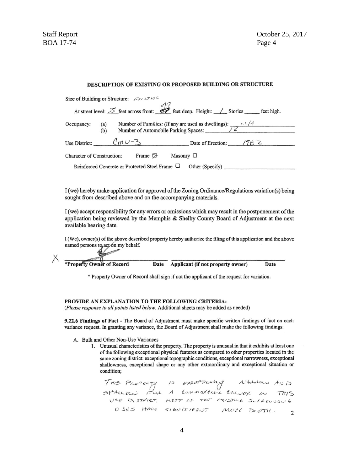#### DESCRIPTION OF EXISTING OR PROPOSED BUILDING OR STRUCTURE

|                                                                                                                                                 | Size of Building or Structure: $\sqrt{(\sqrt{(\lambda)})^2}$ |                   |                |                 |                                                                                                                             |  |  |
|-------------------------------------------------------------------------------------------------------------------------------------------------|--------------------------------------------------------------|-------------------|----------------|-----------------|-----------------------------------------------------------------------------------------------------------------------------|--|--|
|                                                                                                                                                 |                                                              |                   |                |                 | At street level: $\frac{35}{25}$ feet across front: $\frac{47}{5}$ feet deep. Height: _________ Stories ________ feet high. |  |  |
| Number of Families: (If any are used as dwellings): $\frac{1}{\sqrt{6}}$<br>Number of Automobile Parking Spaces: 22<br>Occupancy:<br>(a)<br>(b) |                                                              |                   |                |                 |                                                                                                                             |  |  |
|                                                                                                                                                 |                                                              |                   |                |                 | Use District: $\binom{n\upsilon-3}{\upsilon}$ Date of Erection: $\sqrt{7} \in \mathbb{Z}$                                   |  |  |
| <b>Character of Construction:</b>                                                                                                               |                                                              | Frame $\boxtimes$ | Masonry $\Box$ |                 |                                                                                                                             |  |  |
|                                                                                                                                                 | Reinforced Concrete or Protected Steel Frame $\Box$          |                   |                | Other (Specify) |                                                                                                                             |  |  |

I (we) hereby make application for approval of the Zoning Ordinance/Regulations variation(s) being sought from described above and on the accompanying materials.

I (we) accept responsibility for any errors or omissions which may result in the postponement of the application being reviewed by the Memphis & Shelby County Board of Adjustment at the next available hearing date.

I (We), owner(s) of the above described property hereby authorize the filing of this application and the above named persons to act on my behalf.

\*Property Owner of Record Date Applicant (if not property owner) Date

\* Property Owner of Record shall sign if not the applicant of the request for variation.

#### PROVIDE AN EXPLANATION TO THE FOLLOWING CRITERIA:

(Please response to all points listed below. Additional sheets may be added as needed)

9.22.6 Findings of Fact - The Board of Adjustment must make specific written findings of fact on each variance request. In granting any variance, the Board of Adjustment shall make the following findings:

- A. Bulk and Other Non-Use Variances
	- 1. Unusual characteristics of the property. The property is unusual in that it exhibits at least one of the following exceptional physical features as compared to other properties located in the same zoning district: exceptional topographic conditions, exceptional narrowness, exceptional shallowness, exceptional shape or any other extraordinary and exceptional situation or condition;